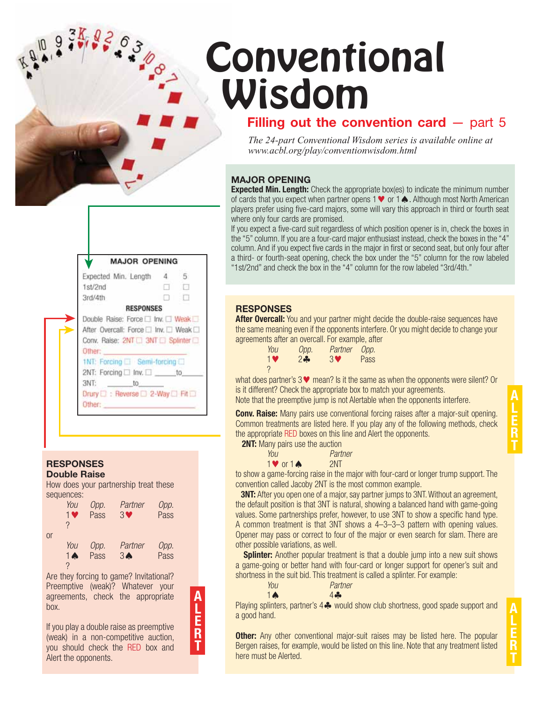# **Conventional** Wisdom

# **Filling out the convention card** – part 5

*The 24-part Conventional Wisdom series is available online at www.acbl.org/play/conventionwisdom.html*

### **MAJOR OPENING**

**Expected Min. Length:** Check the appropriate box(es) to indicate the minimum number of cards that you expect when partner opens 1  $\blacktriangledown$  or 1  $\blacktriangle$ . Although most North American players prefer using five-card majors, some will vary this approach in third or fourth seat where only four cards are promised.

If you expect a five-card suit regardless of which position opener is in, check the boxes in the "5" column. If you are a four-card major enthusiast instead, check the boxes in the "4" column. And if you expect five cards in the major in first or second seat, but only four after a third- or fourth-seat opening, check the box under the "5" column for the row labeled "1st/2nd" and check the box in the "4" column for the row labeled "3rd/4th."

### **RESPONSES**

**After Overcall:** You and your partner might decide the double-raise sequences have the same meaning even if the opponents interfere. Or you might decide to change your agreements after an overcall. For example, after

| You       | Opp.   | Partner Opp. |             |
|-----------|--------|--------------|-------------|
| <b>1V</b> | $2 - $ | <b>3V</b>    | <b>Pass</b> |
|           |        |              |             |

what does partner's  $3\blacktriangledown$  mean? Is it the same as when the opponents were silent? Or is it different? Check the appropriate box to match your agreements.

Note that the preemptive jump is not Alertable when the opponents interfere.

**Conv. Raise:** Many pairs use conventional forcing raises after a major-suit opening. Common treatments are listed here. If you play any of the following methods, check the appropriate RED boxes on this line and Alert the opponents.

**2NT:** Many pairs use the auction

| You                    | Partner |
|------------------------|---------|
| 1 $\vee$ or 1 $\wedge$ | 2NT     |

to show a game-forcing raise in the major with four-card or longer trump support. The convention called Jacoby 2NT is the most common example.

**3NT:** After you open one of a major, say partner jumps to 3NT. Without an agreement, the default position is that 3NT is natural, showing a balanced hand with game-going values. Some partnerships prefer, however, to use 3NT to show a specific hand type. A common treatment is that 3NT shows a 4–3–3–3 pattern with opening values. Opener may pass or correct to four of the major or even search for slam. There are other possible variations, as well.

**Splinter:** Another popular treatment is that a double jump into a new suit shows a game-going or better hand with four-card or longer support for opener's suit and shortness in the suit bid. This treatment is called a splinter. For example:

| You            | Partner |
|----------------|---------|
| $1 \spadesuit$ | 4       |

Playing splinters, partner's 4  $\clubsuit$  would show club shortness, good spade support and a good hand.

**Other:** Any other conventional major-suit raises may be listed here. The popular Bergen raises, for example, would be listed on this line. Note that any treatment listed here must be Alerted.

| <b>MAJOR OPENING</b>                     |    |     |
|------------------------------------------|----|-----|
| Expected Min. Length                     | 4. | -5. |
| 1st/2nd                                  |    | 旧   |
| 3rd/4th                                  |    | ா   |
| <b>RESPONSES</b>                         |    |     |
|                                          |    |     |
| Double Raise: Force Inv. U Weak          |    |     |
| After Overcall: Force   Inv.   Weak      |    |     |
| Conv. Raise: 2NT 3NT 5 Splinter          |    |     |
| Other:                                   |    |     |
| 1NT: Forcing □ Semi-forcing □            |    |     |
| 2NT: Forcing □ Inv. □ _____ to_          |    |     |
| 3NT:<br>to.                              |    |     |
| Drury <b>C</b> : Reverse C 2-Way C Fit C |    |     |

#### **RESPONSES Double Raise**

How does your partnership treat these sequences:

|    | You<br>1 <sup>o</sup><br>? | Opp.<br>Pass | Partner<br>30             | Opp.<br>Pass |
|----|----------------------------|--------------|---------------------------|--------------|
| or |                            |              |                           |              |
|    | You<br>$1 \spadesuit$      | Opp.<br>Pass | Partner<br>3 <sub>•</sub> | Opp.<br>Pass |
|    | ?                          |              |                           |              |

Are they forcing to game? Invitational? Preemptive (weak)? Whatever your agreements, check the appropriate box.

**A L E R T**

If you play a double raise as preemptive (weak) in a non-competitive auction, you should check the RED box and Alert the opponents.

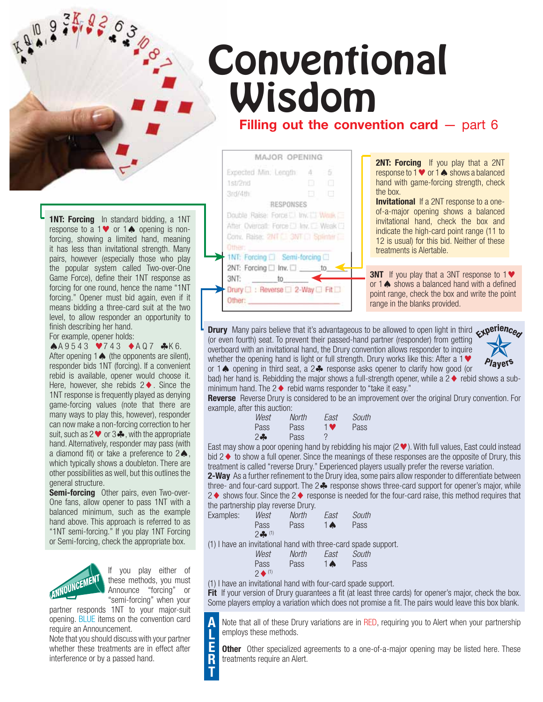# **Filling out the convention card** – part 6 **Conventional** Wisdom

**1NT: Forcing** In standard bidding, a 1NT response to a  $1 \blacktriangleright$  or  $1 \blacktriangle$  opening is nonforcing, showing a limited hand, meaning it has less than invitational strength. Many pairs, however (especially those who play the popular system called Two-over-One Game Force), define their 1NT response as forcing for one round, hence the name "1NT forcing." Opener must bid again, even if it means bidding a three-card suit at the two level, to allow responder an opportunity to finish describing her hand. For example, opener holds:

 $A 9 5 4 3 7 4 3 4 A 0 7 4 K 6.$ After opening  $1 \spadesuit$  (the opponents are silent), responder bids 1NT (forcing). If a convenient rebid is available, opener would choose it. Here, however, she rebids  $2 \blacklozenge$ . Since the 1NT response is frequently played as denying game-forcing values (note that there are many ways to play this, however), responder can now make a non-forcing correction to her suit, such as  $2 \vee \sigma 3$ . with the appropriate hand. Alternatively, responder may pass (with a diamond fit) or take a preference to  $2\spadesuit$ , which typically shows a doubleton. There are other possibilities as well, but this outlines the general structure.

**Semi-forcing** Other pairs, even Two-over-One fans, allow opener to pass 1NT with a balanced minimum, such as the example hand above. This approach is referred to as "1NT semi-forcing." If you play 1NT Forcing or Semi-forcing, check the appropriate box.



If you play either of these methods, you must Announce "forcing" or "semi-forcing" when your

> **A L E R T**

partner responds 1NT to your major-suit opening. BLUE items on the convention card require an Announcement.

Note that you should discuss with your partner whether these treatments are in effect after interference or by a passed hand.

MAJOR OPENING **2NT: Forcing** If you play that a 2NT Expected Min: Length 4 5 response to 1  $\blacktriangledown$  or 1  $\blacktriangle$  shows a balanced 1str2nd hand with game-forcing strength, check the box. 3rd/4th **Invitational** If a 2NT response to a one-RESPONSES of-a-major opening shows a balanced Double Raise: Force [1] Inv. [1] Weak [1] invitational hand, check the box and After Overcall: Force [1] Inv. [1] Weak [1] indicate the high-card point range (11 to Conv. Raise: 2NT C. 3NT C. Splinter 12 is usual) for this bid. Neither of these treatments is Alertable. ➤ 1NT: Forcing □ Semi-forcing □ 2NT: Forcing □ Inv. □ \_ ➤ **3NT** If you play that a 3NT response to 1 3NT: to ➤ or  $1 \triangle$  shows a balanced hand with a defined ➤Drury [ ] : Reverse [ ] 2-Way [ ] Fit [ ] point range, check the box and write the point Other: range in the blanks provided.

**Drury** Many pairs believe that it's advantageous to be allowed to open light in third  $\epsilon$  perience (or even fourth) seat. To prevent their passed-hand partner (responder) from getting overboard with an invitational hand, the Drury convention allows responder to inquire whether the opening hand is light or full strength. Drury works like this: After a 1  $\blacktriangledown$ or 1 $\spadesuit$  opening in third seat, a 2 $\clubsuit$  response asks opener to clarify how good (or



bad) her hand is. Rebidding the major shows a full-strength opener, while a  $2 \blacklozenge$  rebid shows a subminimum hand. The  $2 \triangleleft$  rebid warns responder to "take it easy."

**Reverse** Reverse Drury is considered to be an improvement over the original Drury convention. For example, after this auction:

| West   | North | East | South |
|--------|-------|------|-------|
| Pass   | Pass  | 1 V  | Pass  |
| $2 - $ | Pass  |      |       |

East may show a poor opening hand by rebidding his major ( $2 \blacktriangledown$ ). With full values, East could instead bid  $2 \triangleleft$  to show a full opener. Since the meanings of these responses are the opposite of Drury, this treatment is called "reverse Drury." Experienced players usually prefer the reverse variation.

**2-Way** As a further refinement to the Drury idea, some pairs allow responder to differentiate between three- and four-card support. The  $2\clubsuit$  response shows three-card support for opener's major, while  $2 \blacklozenge$  shows four. Since the 2  $\blacklozenge$  response is needed for the four-card raise, this method requires that the partnership play reverse Drury.

| Examples: | West     | North | East           | South |
|-----------|----------|-------|----------------|-------|
|           | Pass     | Pass  | 1 <sub>o</sub> | Pass  |
|           | $2 - 11$ |       |                |       |

(1) I have an invitational hand with three-card spade support.

| West                              | North | East South |      |
|-----------------------------------|-------|------------|------|
| <b>Pass</b><br>$2 \triangleq (1)$ | Pass  | <b>TAL</b> | Pass |

(1) I have an invitational hand with four-card spade support.

**Fit** If your version of Drury guarantees a fit (at least three cards) for opener's major, check the box. Some players employ a variation which does not promise a fit. The pairs would leave this box blank.

Note that all of these Drury variations are in RED, requiring you to Alert when your partnership employs these methods.

**Other** Other specialized agreements to a one-of-a-major opening may be listed here. These treatments require an Alert.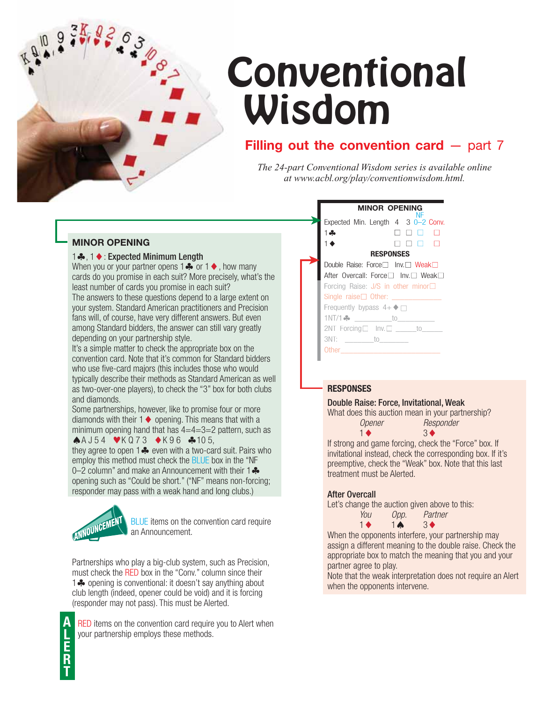

# **Conventional** Wisdom

# **Filling out the convention card**  $-$  part  $7$

*The 24-part Conventional Wisdom series is available online at www.acbl.org/play/conventionwisdom.html.*

### **MINOR OPENING**

#### 1 ♣, 1 ♦ : Expected Minimum Length

When you or your partner opens  $1\clubsuit$  or  $1\spadesuit$ , how many cards do you promise in each suit? More precisely, what's the least number of cards you promise in each suit? The answers to these questions depend to a large extent on your system. Standard American practitioners and Precision fans will, of course, have very different answers. But even among Standard bidders, the answer can still vary greatly depending on your partnership style.

It's a simple matter to check the appropriate box on the convention card. Note that it's common for Standard bidders who use five-card majors (this includes those who would typically describe their methods as Standard American as well as two-over-one players), to check the "3" box for both clubs and diamonds.

Some partnerships, however, like to promise four or more diamonds with their  $1 \blacklozenge$  opening. This means that with a minimum opening hand that has  $4=4=3=2$  pattern, such as  $A$ A J 54  $V$ K Q 73  $V$ K 96  $A$  105,

they agree to open 1  $\clubsuit$  even with a two-card suit. Pairs who employ this method must check the BLUE box in the "NF 0–2 column" and make an Announcement with their  $1 - \frac{1}{2}$ opening such as "Could be short." ("NF" means non-forcing; responder may pass with a weak hand and long clubs.)



BLUE items on the convention card require an Announcement.

Partnerships who play a big-club system, such as Precision, must check the RED box in the "Conv." column since their 1 **\*** opening is conventional: it doesn't say anything about club length (indeed, opener could be void) and it is forcing (responder may not pass). This must be Alerted.

**A L E R T**

RED items on the convention card require you to Alert when your partnership employs these methods.

#### **MINOR OPENING** Expected Min. Length 4 3 0-2 Conv. 1-0000  $1 \leftarrow$   $\Box$   $\Box$   $\Box$   $\Box$ **RESPONSES** Double Raise: Force | Inv. Weak After Overcall: Force $\square$  Inv.  $\square$  Weak $\square$ Forcing Raise: J/S in other minor Single  $raise  $\square$  Other:$ Frequently bypass  $4+\blacklozenge \Box$ 1NT/1- \_\_\_\_\_\_\_\_\_to\_\_\_\_\_\_\_\_\_ Forcing  $2NT$  Forcing  $\Box$  Inv.  $\Box$  \_\_\_\_\_\_to\_\_\_\_\_ 3NT: \_\_\_\_\_\_\_to\_\_\_\_\_\_\_ Other \_\_\_\_\_\_\_\_\_\_\_\_\_\_\_\_\_\_\_\_\_\_\_\_ Other\_\_\_\_\_\_\_\_\_\_\_\_\_\_\_\_\_\_\_\_\_\_\_\_➤ ➤

## **RESPONSES**

#### Double Raise: Force, Invitational, Weak

What does this auction mean in your partnership?  *Opener Responder*



If strong and game forcing, check the "Force" box. If invitational instead, check the corresponding box. If it's preemptive, check the "Weak" box. Note that this last treatment must be Alerted.

### After Overcall

Let's change the auction given above to this:

| You            | Opp.           | Partner        |
|----------------|----------------|----------------|
| $\blacksquare$ | $1 \spadesuit$ | 3 <sup>4</sup> |
|                |                |                |

When the opponents interfere, your partnership may assign a different meaning to the double raise. Check the appropriate box to match the meaning that you and your partner agree to play.

Note that the weak interpretation does not require an Alert when the opponents intervene.